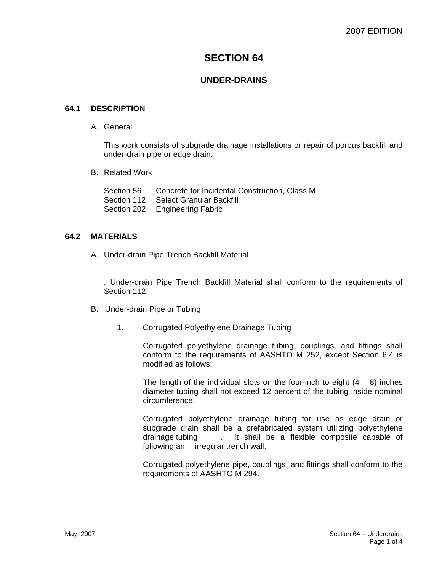# **SECTION 64**

# **UNDER-DRAINS**

#### **64.1 DESCRIPTION**

A. General

This work consists of subgrade drainage installations or repair of porous backfill and under-drain pipe or edge drain.

B. Related Work

Section 56 Concrete for Incidental Construction, Class M Section 112 Select Granular Backfill Section 202 Engineering Fabric

### **64.2 MATERIALS**

A. Under-drain Pipe Trench Backfill Material

, Under-drain Pipe Trench Backfill Material shall conform to the requirements of Section 112.

- B. Under-drain Pipe or Tubing
	- 1. Corrugated Polyethylene Drainage Tubing

Corrugated polyethylene drainage tubing, couplings, and fittings shall conform to the requirements of AASHTO M 252, except Section 6.4 is modified as follows:

The length of the individual slots on the four-inch to eight  $(4 - 8)$  inches diameter tubing shall not exceed 12 percent of the tubing inside nominal circumference.

Corrugated polyethylene drainage tubing for use as edge drain or subgrade drain shall be a prefabricated system utilizing polyethylene drainage tubing . It shall be a flexible composite capable of following an irregular trench wall.

Corrugated polyethylene pipe, couplings, and fittings shall conform to the requirements of AASHTO M 294.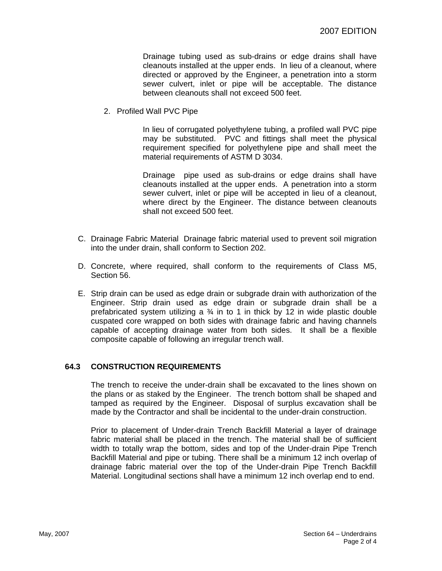Drainage tubing used as sub-drains or edge drains shall have cleanouts installed at the upper ends. In lieu of a cleanout, where directed or approved by the Engineer, a penetration into a storm sewer culvert, inlet or pipe will be acceptable. The distance between cleanouts shall not exceed 500 feet.

2. Profiled Wall PVC Pipe

In lieu of corrugated polyethylene tubing, a profiled wall PVC pipe may be substituted. PVC and fittings shall meet the physical requirement specified for polyethylene pipe and shall meet the material requirements of ASTM D 3034.

Drainage pipe used as sub-drains or edge drains shall have cleanouts installed at the upper ends. A penetration into a storm sewer culvert, inlet or pipe will be accepted in lieu of a cleanout, where direct by the Engineer. The distance between cleanouts shall not exceed 500 feet.

- C. Drainage Fabric Material Drainage fabric material used to prevent soil migration into the under drain, shall conform to Section 202.
- D. Concrete, where required, shall conform to the requirements of Class M5, Section 56.
- E. Strip drain can be used as edge drain or subgrade drain with authorization of the Engineer. Strip drain used as edge drain or subgrade drain shall be a prefabricated system utilizing a  $\frac{3}{4}$  in to 1 in thick by 12 in wide plastic double cuspated core wrapped on both sides with drainage fabric and having channels capable of accepting drainage water from both sides. It shall be a flexible composite capable of following an irregular trench wall.

## **64.3 CONSTRUCTION REQUIREMENTS**

The trench to receive the under-drain shall be excavated to the lines shown on the plans or as staked by the Engineer. The trench bottom shall be shaped and tamped as required by the Engineer. Disposal of surplus excavation shall be made by the Contractor and shall be incidental to the under-drain construction.

Prior to placement of Under-drain Trench Backfill Material a layer of drainage fabric material shall be placed in the trench. The material shall be of sufficient width to totally wrap the bottom, sides and top of the Under-drain Pipe Trench Backfill Material and pipe or tubing. There shall be a minimum 12 inch overlap of drainage fabric material over the top of the Under-drain Pipe Trench Backfill Material. Longitudinal sections shall have a minimum 12 inch overlap end to end.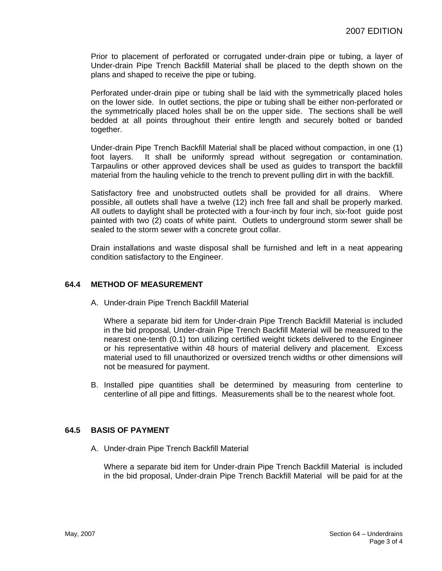Prior to placement of perforated or corrugated under-drain pipe or tubing, a layer of Under-drain Pipe Trench Backfill Material shall be placed to the depth shown on the plans and shaped to receive the pipe or tubing.

Perforated under-drain pipe or tubing shall be laid with the symmetrically placed holes on the lower side. In outlet sections, the pipe or tubing shall be either non-perforated or the symmetrically placed holes shall be on the upper side. The sections shall be well bedded at all points throughout their entire length and securely bolted or banded together.

Under-drain Pipe Trench Backfill Material shall be placed without compaction, in one (1) foot layers. It shall be uniformly spread without segregation or contamination. Tarpaulins or other approved devices shall be used as guides to transport the backfill material from the hauling vehicle to the trench to prevent pulling dirt in with the backfill.

Satisfactory free and unobstructed outlets shall be provided for all drains. Where possible, all outlets shall have a twelve (12) inch free fall and shall be properly marked. All outlets to daylight shall be protected with a four-inch by four inch, six-foot guide post painted with two (2) coats of white paint. Outlets to underground storm sewer shall be sealed to the storm sewer with a concrete grout collar.

Drain installations and waste disposal shall be furnished and left in a neat appearing condition satisfactory to the Engineer.

#### **64.4 METHOD OF MEASUREMENT**

A. Under-drain Pipe Trench Backfill Material

Where a separate bid item for Under-drain Pipe Trench Backfill Material is included in the bid proposal, Under-drain Pipe Trench Backfill Material will be measured to the nearest one-tenth (0.1) ton utilizing certified weight tickets delivered to the Engineer or his representative within 48 hours of material delivery and placement. Excess material used to fill unauthorized or oversized trench widths or other dimensions will not be measured for payment.

B. Installed pipe quantities shall be determined by measuring from centerline to centerline of all pipe and fittings. Measurements shall be to the nearest whole foot.

#### **64.5 BASIS OF PAYMENT**

A. Under-drain Pipe Trench Backfill Material

Where a separate bid item for Under-drain Pipe Trench Backfill Material is included in the bid proposal, Under-drain Pipe Trench Backfill Material will be paid for at the